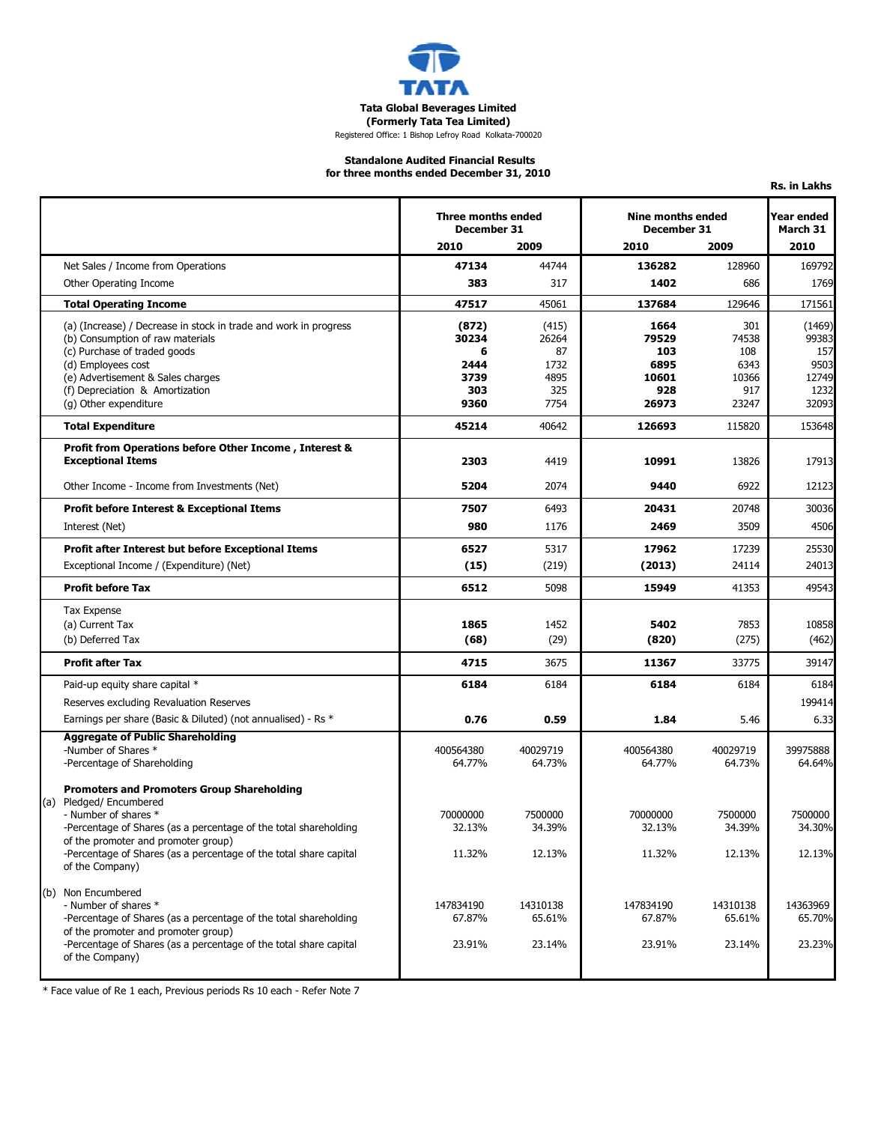

### **Tata Global Beverages Limited (Formerly Tata Tea Limited)**

Registered Office: 1 Bishop Lefroy Road Kolkata-700020

### **Standalone Audited Financial Results for three months ended December 31, 2010**

**Rs. in Lakhs**

|                                                                                                          | <b>Three months ended</b><br>December 31 |             | Nine months ended<br>December 31 |              | Year ended<br>March 31 |
|----------------------------------------------------------------------------------------------------------|------------------------------------------|-------------|----------------------------------|--------------|------------------------|
|                                                                                                          | 2010                                     | 2009        | 2010                             | 2009         | 2010                   |
| Net Sales / Income from Operations                                                                       | 47134                                    | 44744       | 136282                           | 128960       | 169792                 |
| Other Operating Income                                                                                   | 383                                      | 317         | 1402                             | 686          | 1769                   |
| <b>Total Operating Income</b>                                                                            | 47517                                    | 45061       | 137684                           | 129646       | 171561                 |
| (a) (Increase) / Decrease in stock in trade and work in progress                                         | (872)                                    | (415)       | 1664                             | 301          | (1469)                 |
| (b) Consumption of raw materials                                                                         | 30234                                    | 26264       | 79529                            | 74538        | 99383                  |
| (c) Purchase of traded goods                                                                             | 6                                        | 87          | 103                              | 108          | 157                    |
| (d) Employees cost                                                                                       | 2444                                     | 1732        | 6895<br>10601                    | 6343         | 9503                   |
| (e) Advertisement & Sales charges<br>(f) Depreciation & Amortization                                     | 3739<br>303                              | 4895<br>325 | 928                              | 10366<br>917 | 12749<br>1232          |
| (g) Other expenditure                                                                                    | 9360                                     | 7754        | 26973                            | 23247        | 32093                  |
| <b>Total Expenditure</b>                                                                                 | 45214                                    | 40642       | 126693                           | 115820       | 153648                 |
| Profit from Operations before Other Income, Interest &                                                   |                                          |             |                                  |              |                        |
| <b>Exceptional Items</b>                                                                                 | 2303                                     | 4419        | 10991                            | 13826        | 17913                  |
| Other Income - Income from Investments (Net)                                                             | 5204                                     | 2074        | 9440                             | 6922         | 12123                  |
| <b>Profit before Interest &amp; Exceptional Items</b>                                                    | 7507                                     | 6493        | 20431                            | 20748        | 30036                  |
| Interest (Net)                                                                                           | 980                                      | 1176        | 2469                             | 3509         | 4506                   |
| Profit after Interest but before Exceptional Items                                                       | 6527                                     | 5317        | 17962                            | 17239        | 25530                  |
| Exceptional Income / (Expenditure) (Net)                                                                 | (15)                                     | (219)       | (2013)                           | 24114        | 24013                  |
| <b>Profit before Tax</b>                                                                                 | 6512                                     | 5098        | 15949                            | 41353        | 49543                  |
| <b>Tax Expense</b>                                                                                       |                                          |             |                                  |              |                        |
| (a) Current Tax                                                                                          | 1865                                     | 1452        | 5402                             | 7853         | 10858                  |
| (b) Deferred Tax                                                                                         | (68)                                     | (29)        | (820)                            | (275)        | (462)                  |
| <b>Profit after Tax</b>                                                                                  | 4715                                     | 3675        | 11367                            | 33775        | 39147                  |
| Paid-up equity share capital *                                                                           | 6184                                     | 6184        | 6184                             | 6184         | 6184                   |
| Reserves excluding Revaluation Reserves                                                                  |                                          |             |                                  |              | 199414                 |
| Earnings per share (Basic & Diluted) (not annualised) - Rs *                                             | 0.76                                     | 0.59        | 1.84                             | 5.46         | 6.33                   |
| <b>Aggregate of Public Shareholding</b><br>-Number of Shares *                                           | 400564380                                | 40029719    | 400564380                        | 40029719     | 39975888               |
| -Percentage of Shareholding                                                                              | 64.77%                                   | 64.73%      | 64.77%                           | 64.73%       | 64.64%                 |
| <b>Promoters and Promoters Group Shareholding</b>                                                        |                                          |             |                                  |              |                        |
| (a) Pledged/Encumbered                                                                                   |                                          |             |                                  |              |                        |
| - Number of shares *                                                                                     | 70000000                                 | 7500000     | 70000000                         | 7500000      | 7500000                |
| Percentage of Shares (as a percentage of the total shareholding                                          | 32.13%                                   | 34.39%      | 32.13%                           | 34.39%       | 34.30%                 |
| of the promoter and promoter group)<br>-Percentage of Shares (as a percentage of the total share capital | 11.32%                                   | 12.13%      | 11.32%                           | 12.13%       | 12.13%                 |
| of the Company)                                                                                          |                                          |             |                                  |              |                        |
| (b) Non Encumbered                                                                                       |                                          |             |                                  |              |                        |
| - Number of shares *                                                                                     | 147834190                                | 14310138    | 147834190                        | 14310138     | 14363969               |
| -Percentage of Shares (as a percentage of the total shareholding                                         | 67.87%                                   | 65.61%      | 67.87%                           | 65.61%       | 65.70%                 |
| of the promoter and promoter group)                                                                      |                                          |             |                                  |              |                        |
| -Percentage of Shares (as a percentage of the total share capital<br>of the Company)                     | 23.91%                                   | 23.14%      | 23.91%                           | 23.14%       | 23.23%                 |
|                                                                                                          |                                          |             |                                  |              |                        |

\* Face value of Re 1 each, Previous periods Rs 10 each - Refer Note 7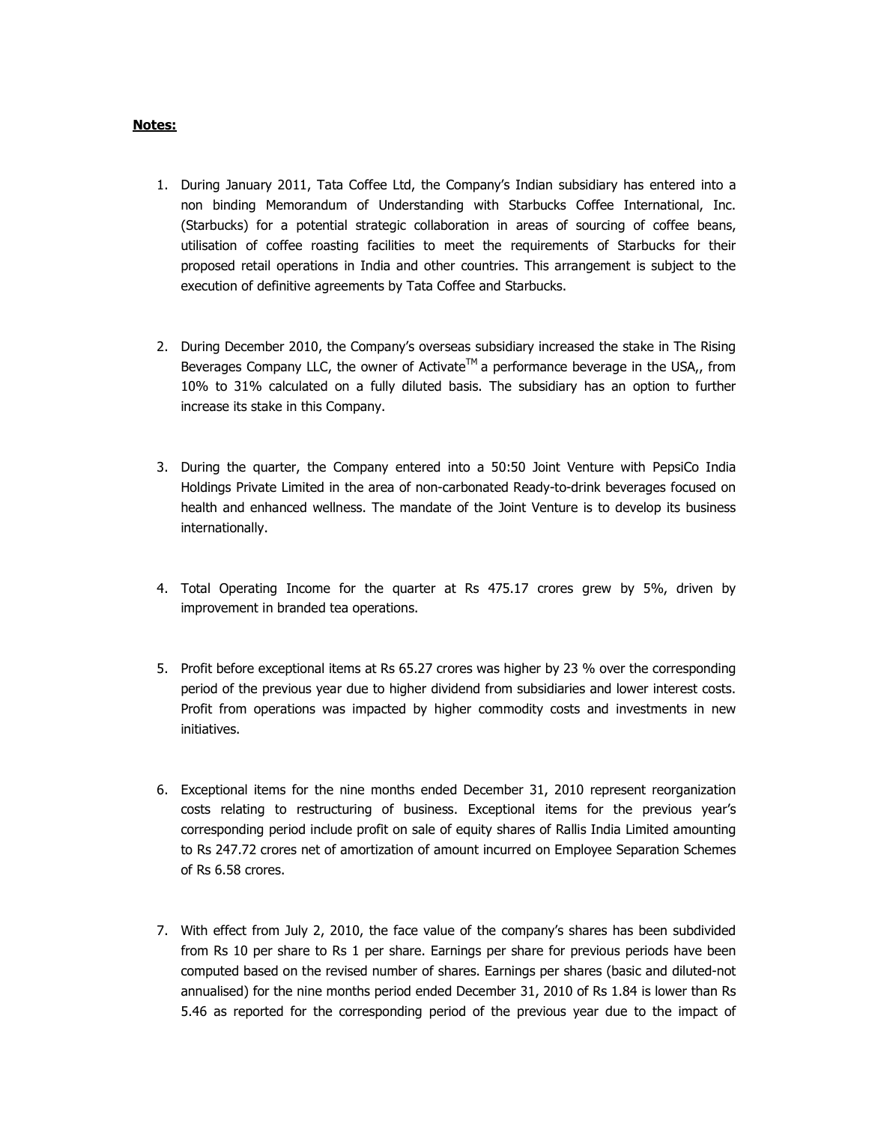# **Notes:**

- 1. During January 2011, Tata Coffee Ltd, the Company's Indian subsidiary has entered into a non binding Memorandum of Understanding with Starbucks Coffee International, Inc. (Starbucks) for a potential strategic collaboration in areas of sourcing of coffee beans, utilisation of coffee roasting facilities to meet the requirements of Starbucks for their proposed retail operations in India and other countries. This arrangement is subject to the execution of definitive agreements by Tata Coffee and Starbucks.
- 2. During December 2010, the Company's overseas subsidiary increased the stake in The Rising Beverages Company LLC, the owner of Activate<sup>TM</sup> a performance beverage in the USA,, from 10% to 31% calculated on a fully diluted basis. The subsidiary has an option to further increase its stake in this Company.
- 3. During the quarter, the Company entered into a 50:50 Joint Venture with PepsiCo India Holdings Private Limited in the area of non-carbonated Ready-to-drink beverages focused on health and enhanced wellness. The mandate of the Joint Venture is to develop its business internationally.
- 4. Total Operating Income for the quarter at Rs 475.17 crores grew by 5%, driven by improvement in branded tea operations.
- 5. Profit before exceptional items at Rs 65.27 crores was higher by 23 % over the corresponding period of the previous year due to higher dividend from subsidiaries and lower interest costs. Profit from operations was impacted by higher commodity costs and investments in new initiatives.
- 6. Exceptional items for the nine months ended December 31, 2010 represent reorganization costs relating to restructuring of business. Exceptional items for the previous year's corresponding period include profit on sale of equity shares of Rallis India Limited amounting to Rs 247.72 crores net of amortization of amount incurred on Employee Separation Schemes of Rs 6.58 crores.
- 7. With effect from July 2, 2010, the face value of the company's shares has been subdivided from Rs 10 per share to Rs 1 per share. Earnings per share for previous periods have been computed based on the revised number of shares. Earnings per shares (basic and diluted-not annualised) for the nine months period ended December 31, 2010 of Rs 1.84 is lower than Rs 5.46 as reported for the corresponding period of the previous year due to the impact of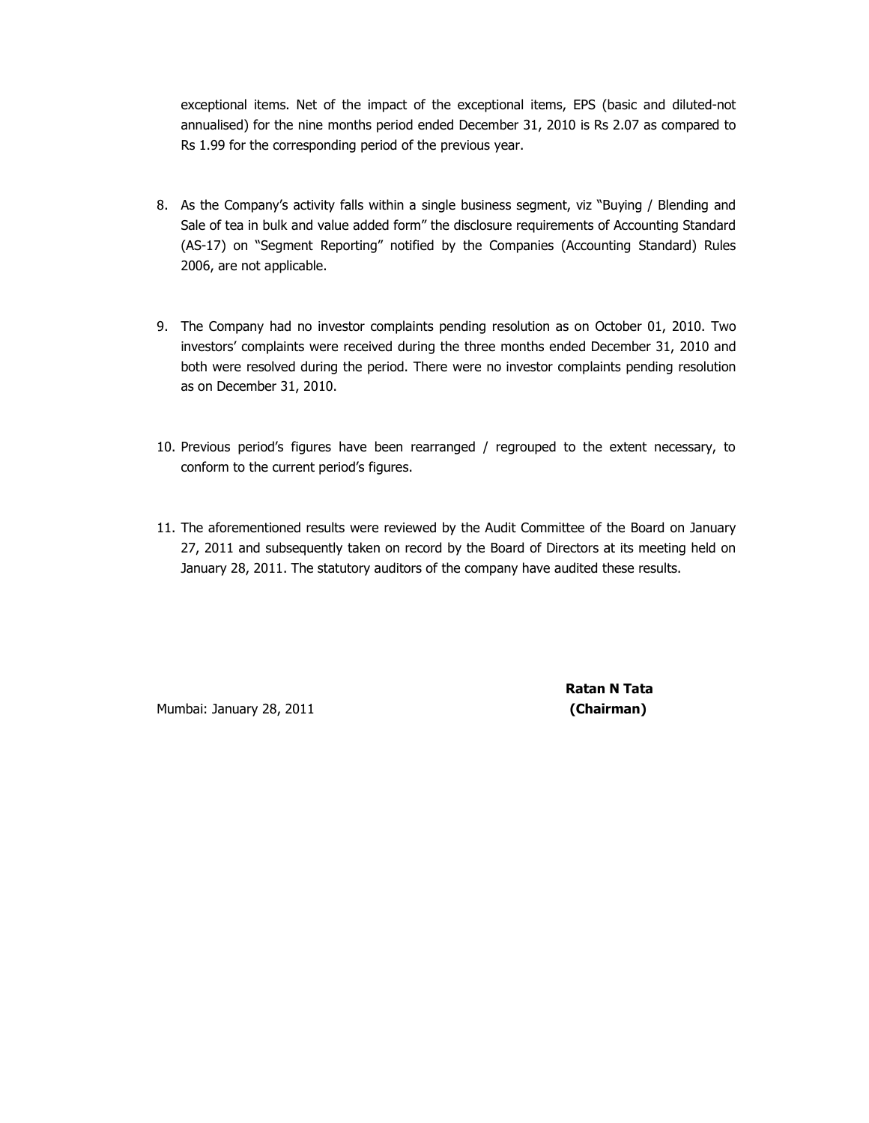exceptional items. Net of the impact of the exceptional items, EPS (basic and diluted-not annualised) for the nine months period ended December 31, 2010 is Rs 2.07 as compared to Rs 1.99 for the corresponding period of the previous year.

- 8. As the Company's activity falls within a single business segment, viz "Buying / Blending and Sale of tea in bulk and value added form" the disclosure requirements of Accounting Standard (AS-17) on "Segment Reporting" notified by the Companies (Accounting Standard) Rules 2006, are not applicable.
- 9. The Company had no investor complaints pending resolution as on October 01, 2010. Two investors' complaints were received during the three months ended December 31, 2010 and both were resolved during the period. There were no investor complaints pending resolution as on December 31, 2010.
- 10. Previous period's figures have been rearranged / regrouped to the extent necessary, to conform to the current period's figures.
- 11. The aforementioned results were reviewed by the Audit Committee of the Board on January 27, 2011 and subsequently taken on record by the Board of Directors at its meeting held on January 28, 2011. The statutory auditors of the company have audited these results.

Mumbai: January 28, 2011 **(Chairman)**

 **Ratan N Tata**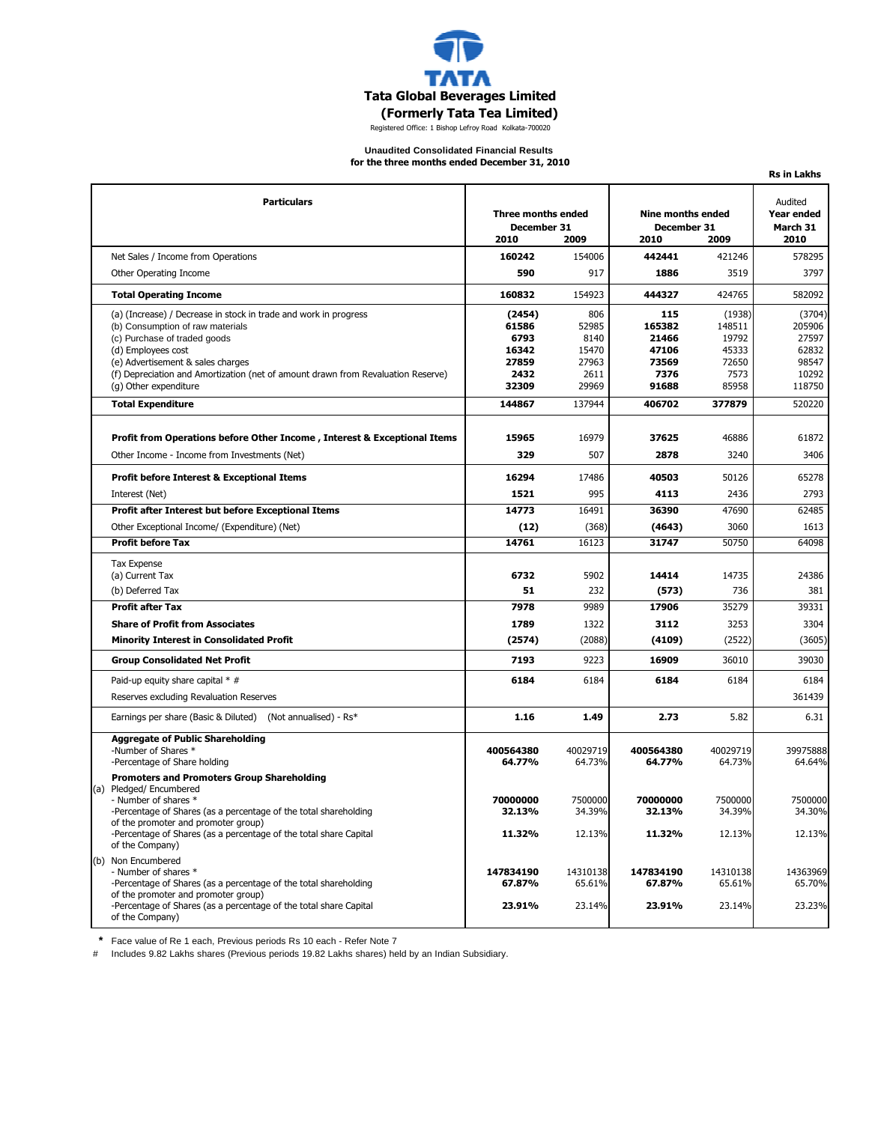

Registered Office: 1 Bishop Lefroy Road Kolkata-700020

#### **Unaudited Consolidated Financial Results for the three months ended December 31, 2010**

| <b>Particulars</b>                                                                                                                                                                                                                                                                                           | Three months ended<br>December 31<br>2010                  | 2009                                                    | <b>Nine months ended</b><br>December 31<br>2010<br>2009   |                                                              | Audited<br>Year ended<br>March 31<br>2010                      |
|--------------------------------------------------------------------------------------------------------------------------------------------------------------------------------------------------------------------------------------------------------------------------------------------------------------|------------------------------------------------------------|---------------------------------------------------------|-----------------------------------------------------------|--------------------------------------------------------------|----------------------------------------------------------------|
| Net Sales / Income from Operations                                                                                                                                                                                                                                                                           | 160242                                                     | 154006                                                  | 442441                                                    | 421246                                                       | 578295                                                         |
| Other Operating Income                                                                                                                                                                                                                                                                                       | 590                                                        | 917                                                     | 1886                                                      | 3519                                                         | 3797                                                           |
| <b>Total Operating Income</b>                                                                                                                                                                                                                                                                                | 160832                                                     | 154923                                                  | 444327                                                    | 424765                                                       | 582092                                                         |
| (a) (Increase) / Decrease in stock in trade and work in progress<br>(b) Consumption of raw materials<br>(c) Purchase of traded goods<br>(d) Employees cost<br>(e) Advertisement & sales charges<br>(f) Depreciation and Amortization (net of amount drawn from Revaluation Reserve)<br>(g) Other expenditure | (2454)<br>61586<br>6793<br>16342<br>27859<br>2432<br>32309 | 806<br>52985<br>8140<br>15470<br>27963<br>2611<br>29969 | 115<br>165382<br>21466<br>47106<br>73569<br>7376<br>91688 | (1938)<br>148511<br>19792<br>45333<br>72650<br>7573<br>85958 | (3704)<br>205906<br>27597<br>62832<br>98547<br>10292<br>118750 |
| <b>Total Expenditure</b>                                                                                                                                                                                                                                                                                     | 144867                                                     | 137944                                                  | 406702                                                    | 377879                                                       | 520220                                                         |
| Profit from Operations before Other Income, Interest & Exceptional Items<br>Other Income - Income from Investments (Net)                                                                                                                                                                                     | 15965<br>329                                               | 16979<br>507                                            | 37625<br>2878                                             | 46886<br>3240                                                | 61872<br>3406                                                  |
|                                                                                                                                                                                                                                                                                                              |                                                            |                                                         |                                                           |                                                              |                                                                |
| <b>Profit before Interest &amp; Exceptional Items</b>                                                                                                                                                                                                                                                        | 16294                                                      | 17486                                                   | 40503                                                     | 50126                                                        | 65278                                                          |
| Interest (Net)                                                                                                                                                                                                                                                                                               | 1521<br>14773                                              | 995<br>16491                                            | 4113<br>36390                                             | 2436<br>47690                                                | 2793<br>62485                                                  |
| Profit after Interest but before Exceptional Items<br>Other Exceptional Income/ (Expenditure) (Net)                                                                                                                                                                                                          | (12)                                                       |                                                         | (4643)                                                    | 3060                                                         | 1613                                                           |
| <b>Profit before Tax</b>                                                                                                                                                                                                                                                                                     | 14761                                                      | (368)<br>16123                                          | 31747                                                     | 50750                                                        | 64098                                                          |
| <b>Tax Expense</b><br>(a) Current Tax<br>(b) Deferred Tax<br><b>Profit after Tax</b>                                                                                                                                                                                                                         | 6732<br>51<br>7978                                         | 5902<br>232<br>9989                                     | 14414<br>(573)<br>17906                                   | 14735<br>736<br>35279                                        | 24386<br>381<br>39331                                          |
| <b>Share of Profit from Associates</b>                                                                                                                                                                                                                                                                       | 1789                                                       | 1322                                                    | 3112                                                      | 3253                                                         | 3304                                                           |
| <b>Minority Interest in Consolidated Profit</b>                                                                                                                                                                                                                                                              | (2574)                                                     | (2088)                                                  | (4109)                                                    | (2522)                                                       | (3605)                                                         |
| <b>Group Consolidated Net Profit</b>                                                                                                                                                                                                                                                                         | 7193                                                       | 9223                                                    | 16909                                                     | 36010                                                        | 39030                                                          |
| Paid-up equity share capital $*$ #                                                                                                                                                                                                                                                                           | 6184                                                       | 6184                                                    | 6184                                                      | 6184                                                         | 6184                                                           |
| Reserves excluding Revaluation Reserves                                                                                                                                                                                                                                                                      |                                                            |                                                         |                                                           |                                                              | 361439                                                         |
| Earnings per share (Basic & Diluted) (Not annualised) - Rs*                                                                                                                                                                                                                                                  | 1.16                                                       | 1.49                                                    | 2.73                                                      | 5.82                                                         | 6.31                                                           |
| <b>Aggregate of Public Shareholding</b><br>-Number of Shares *<br>-Percentage of Share holding                                                                                                                                                                                                               | 400564380<br>64.77%                                        | 40029719<br>64.73%                                      | 400564380<br>64.77%                                       | 40029719<br>64.73%                                           | 39975888<br>64.64%                                             |
| <b>Promoters and Promoters Group Shareholding</b><br>(a) Pledged/Encumbered<br>- Number of shares *<br>-Percentage of Shares (as a percentage of the total shareholding<br>of the promoter and promoter group)<br>-Percentage of Shares (as a percentage of the total share Capital<br>of the Company)       | 70000000<br>32.13%<br>11.32%                               | 7500000<br>34.39%<br>12.13%                             | 70000000<br>32.13%<br>11.32%                              | 7500000<br>34.39%<br>12.13%                                  | 7500000<br>34.30%<br>12.13%                                    |
| (b) Non Encumbered<br>- Number of shares *<br>-Percentage of Shares (as a percentage of the total shareholding<br>of the promoter and promoter group)                                                                                                                                                        | 147834190<br>67.87%                                        | 14310138<br>65.61%                                      | 147834190<br>67.87%                                       | 14310138<br>65.61%                                           | 14363969<br>65.70%                                             |
| -Percentage of Shares (as a percentage of the total share Capital<br>of the Company)                                                                                                                                                                                                                         | 23.91%                                                     | 23.14%                                                  | 23.91%                                                    | 23.14%                                                       | 23.23%                                                         |

**\*** Face value of Re 1 each, Previous periods Rs 10 each - Refer Note 7

# Includes 9.82 Lakhs shares (Previous periods 19.82 Lakhs shares) held by an Indian Subsidiary.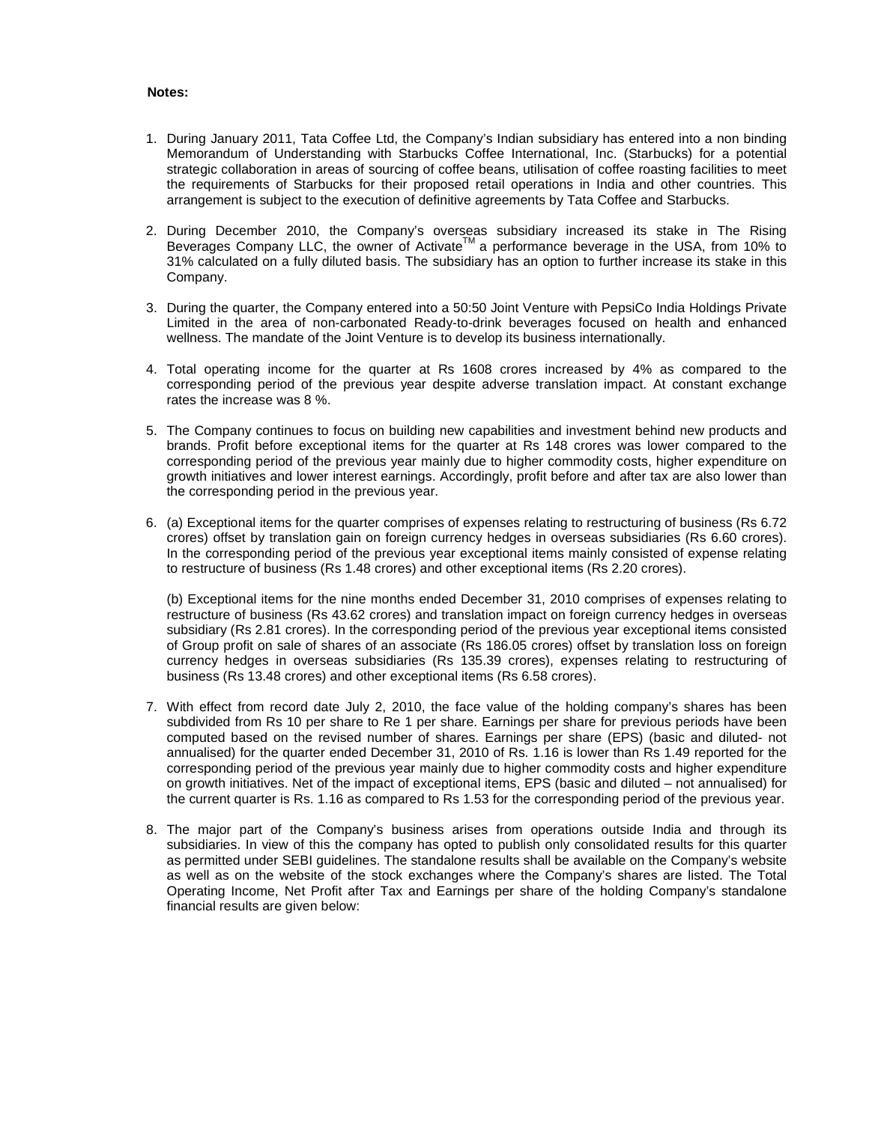## **Notes:**

- 1. During January 2011, Tata Coffee Ltd, the Company's Indian subsidiary has entered into a non binding Memorandum of Understanding with Starbucks Coffee International, Inc. (Starbucks) for a potential strategic collaboration in areas of sourcing of coffee beans, utilisation of coffee roasting facilities to meet the requirements of Starbucks for their proposed retail operations in India and other countries. This arrangement is subject to the execution of definitive agreements by Tata Coffee and Starbucks.
- 2. During December 2010, the Company's overseas subsidiary increased its stake in The Rising Beverages Company LLC, the owner of Activate™ a performance beverage in the USA, from 10% to 31% calculated on a fully diluted basis. The subsidiary has an option to further increase its stake in this Company.
- 3. During the quarter, the Company entered into a 50:50 Joint Venture with PepsiCo India Holdings Private Limited in the area of non-carbonated Ready-to-drink beverages focused on health and enhanced wellness. The mandate of the Joint Venture is to develop its business internationally.
- 4. Total operating income for the quarter at Rs 1608 crores increased by 4% as compared to the corresponding period of the previous year despite adverse translation impact. At constant exchange rates the increase was 8 %.
- 5. The Company continues to focus on building new capabilities and investment behind new products and brands. Profit before exceptional items for the quarter at Rs 148 crores was lower compared to the corresponding period of the previous year mainly due to higher commodity costs, higher expenditure on growth initiatives and lower interest earnings. Accordingly, profit before and after tax are also lower than the corresponding period in the previous year.
- 6. (a) Exceptional items for the quarter comprises of expenses relating to restructuring of business (Rs 6.72 crores) offset by translation gain on foreign currency hedges in overseas subsidiaries (Rs 6.60 crores). In the corresponding period of the previous year exceptional items mainly consisted of expense relating to restructure of business (Rs 1.48 crores) and other exceptional items (Rs 2.20 crores).

(b) Exceptional items for the nine months ended December 31, 2010 comprises of expenses relating to restructure of business (Rs 43.62 crores) and translation impact on foreign currency hedges in overseas subsidiary (Rs 2.81 crores). In the corresponding period of the previous year exceptional items consisted of Group profit on sale of shares of an associate (Rs 186.05 crores) offset by translation loss on foreign currency hedges in overseas subsidiaries (Rs 135.39 crores), expenses relating to restructuring of business (Rs 13.48 crores) and other exceptional items (Rs 6.58 crores).

- 7. With effect from record date July 2, 2010, the face value of the holding company's shares has been subdivided from Rs 10 per share to Re 1 per share. Earnings per share for previous periods have been computed based on the revised number of shares. Earnings per share (EPS) (basic and diluted- not annualised) for the quarter ended December 31, 2010 of Rs. 1.16 is lower than Rs 1.49 reported for the corresponding period of the previous year mainly due to higher commodity costs and higher expenditure on growth initiatives. Net of the impact of exceptional items, EPS (basic and diluted – not annualised) for the current quarter is Rs. 1.16 as compared to Rs 1.53 for the corresponding period of the previous year.
- 8. The major part of the Company's business arises from operations outside India and through its subsidiaries. In view of this the company has opted to publish only consolidated results for this quarter as permitted under SEBI guidelines. The standalone results shall be available on the Company's website as well as on the website of the stock exchanges where the Company's shares are listed. The Total Operating Income, Net Profit after Tax and Earnings per share of the holding Company's standalone financial results are given below: